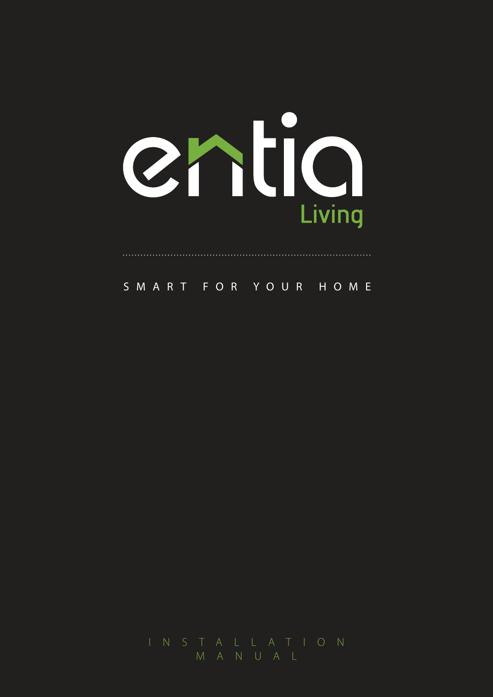

SMART FOR YOUR HOME

M A N U A L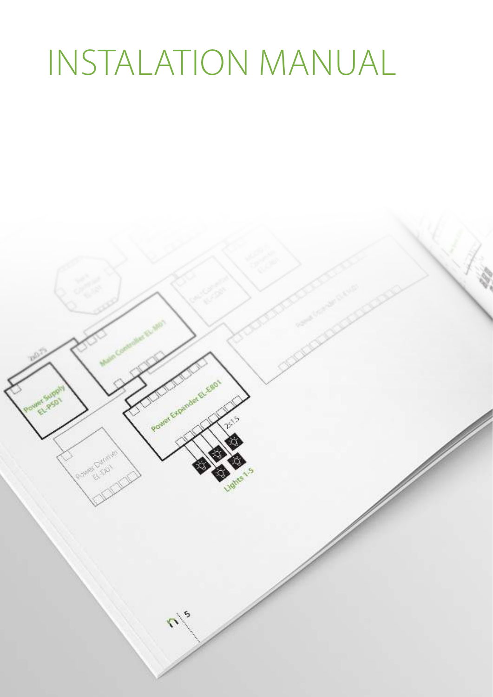# INSTALATION MANUAL

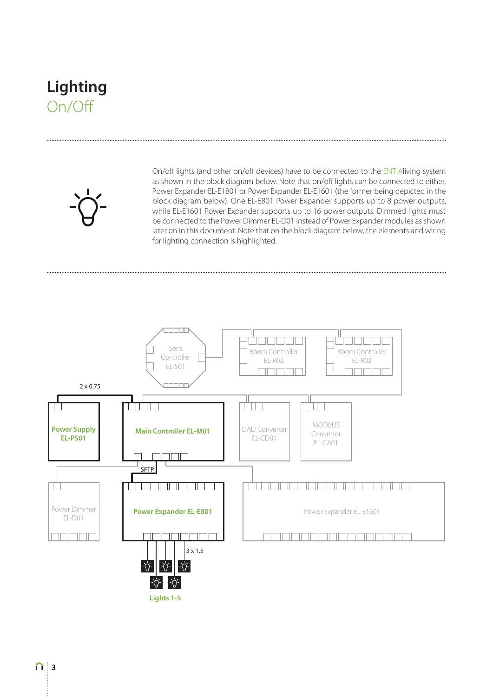#### **Lighting** On/Off

On/off lights (and other on/off devices) have to be connected to the ENTIAliving system as shown in the block diagram below. Note that on/off lights can be connected to either, Power Expander EL-E1801 or Power Expander EL-E1601 (the former being depicted in the block diagram below). One EL-E801 Power Expander supports up to 8 power outputs, while EL-E1601 Power Expander supports up to 16 power outputs. Dimmed lights must be connected to the Power Dimmer EL-D01 instead of Power Expander modules as shown later on in this document. Note that on the block diagram below, the elements and wiring for lighting connection is highlighted.

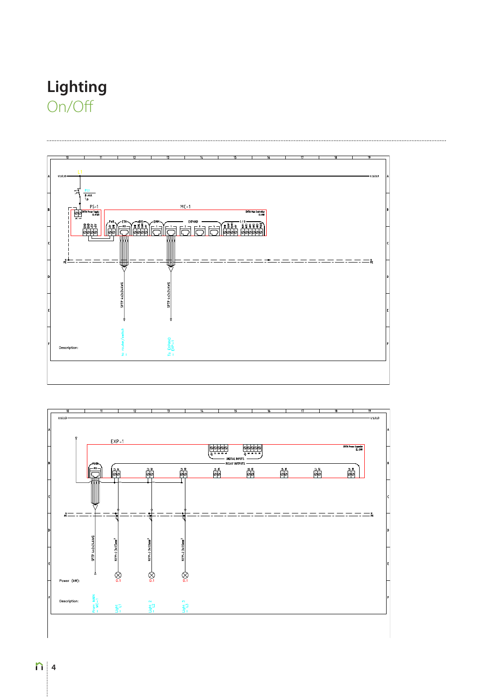#### Lighting On/Off



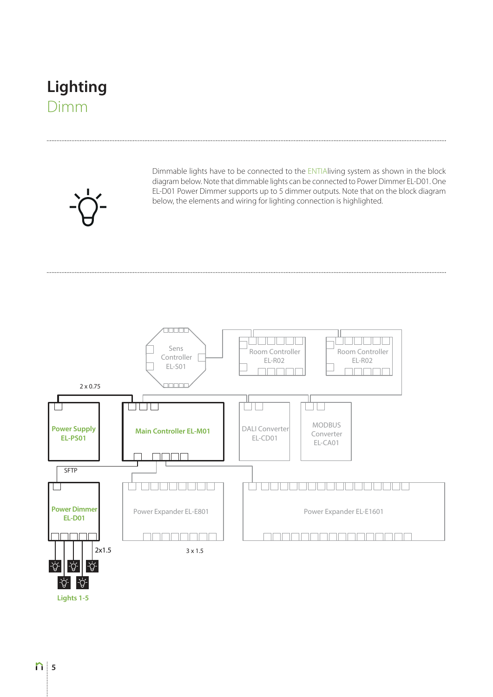#### **Lighting** Dimm

........................



Dimmable lights have to be connected to the ENTIAliving system as shown in the block diagram below. Note that dimmable lights can be connected to Power Dimmer EL-D01. One EL-D01 Power Dimmer supports up to 5 dimmer outputs. Note that on the block diagram below, the elements and wiring for lighting connection is highlighted.



**Lights 1-5**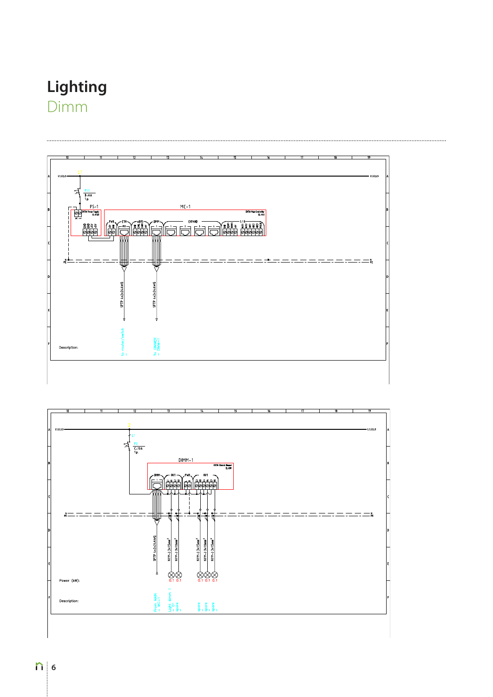#### **Lighting** Dimm



 $\otimes$ 

 $\begin{array}{c} \mathbf{g} \\ \mathbf{g} \\ \mathbf{g} \\ \mathbf{g} \\ \mathbf{g} \\ \mathbf{g} \\ \mathbf{g} \\ \mathbf{g} \\ \mathbf{g} \\ \mathbf{g} \\ \mathbf{g} \\ \mathbf{g} \\ \mathbf{g} \\ \mathbf{g} \\ \mathbf{g} \\ \mathbf{g} \\ \mathbf{g} \\ \mathbf{g} \\ \mathbf{g} \\ \mathbf{g} \\ \mathbf{g} \\ \mathbf{g} \\ \mathbf{g} \\ \mathbf{g} \\ \mathbf{g} \\ \mathbf{g} \\ \mathbf{g} \\ \mathbf{g} \\ \mathbf{g} \\ \mathbf{g} \\ \mathbf$ 

From MA<br>- MC-1

壽。

 $(kW)$  $P<sub>0</sub>$ 

<sub>De</sub>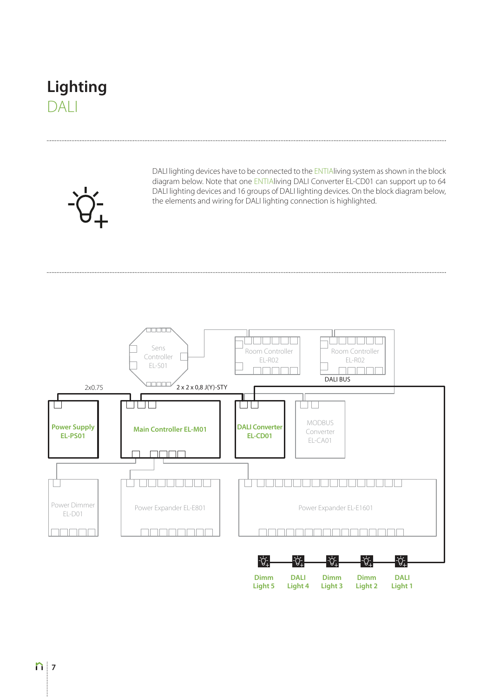#### **Lighting** DALI

.........................



DALI lighting devices have to be connected to the ENTIAliving system as shown in the block diagram below. Note that one ENTIAliving DALI Converter EL-CD01 can support up to 64 DALI lighting devices and 16 groups of DALI lighting devices. On the block diagram below, the elements and wiring for DALI lighting connection is highlighted.

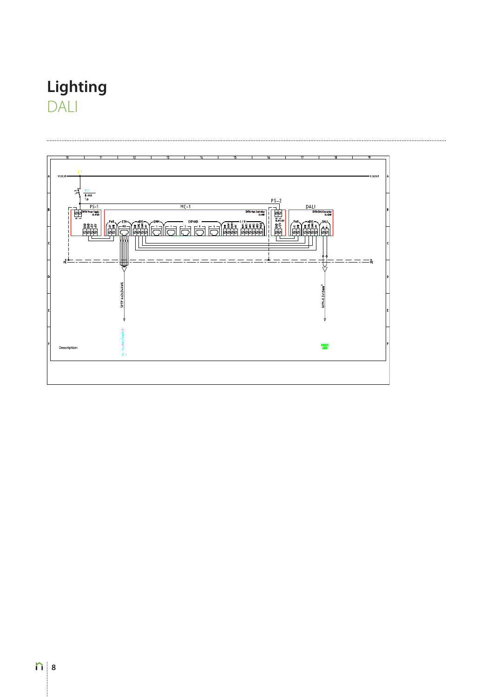### **Lighting** DALI

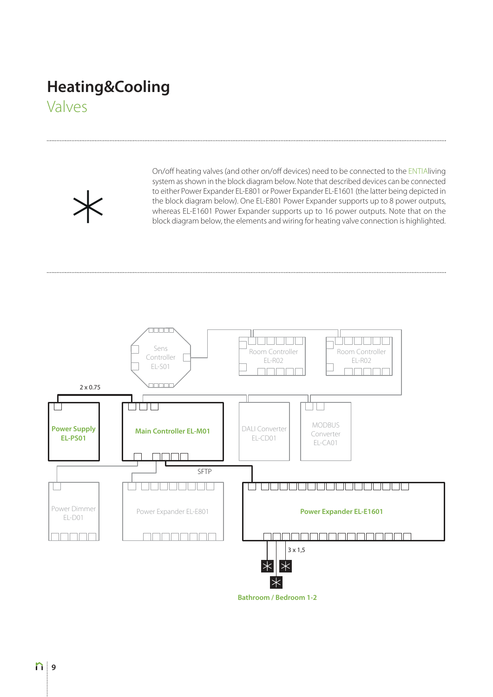## **Heating&Cooling**

Valves

On/off heating valves (and other on/off devices) need to be connected to the ENTIAliving system as shown in the block diagram below. Note that described devices can be connected to either Power Expander EL-E801 or Power Expander EL-E1601 (the latter being depicted in the block diagram below). One EL-E801 Power Expander supports up to 8 power outputs, whereas EL-E1601 Power Expander supports up to 16 power outputs. Note that on the block diagram below, the elements and wiring for heating valve connection is highlighted.



**Bathroom / Bedroom 1-2**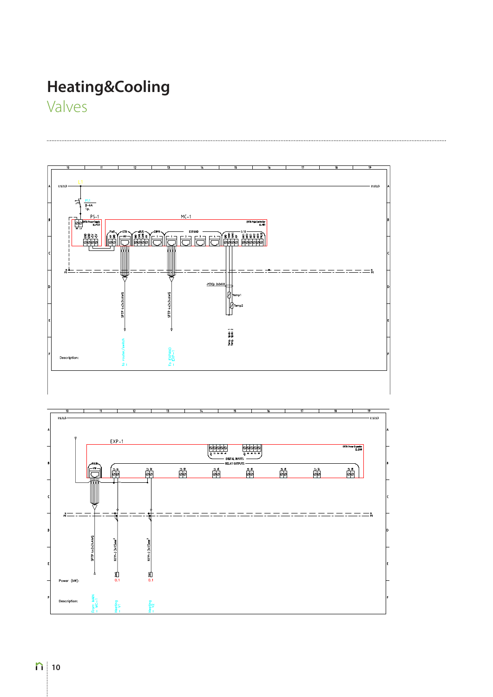## **Heating&Cooling**

Valves



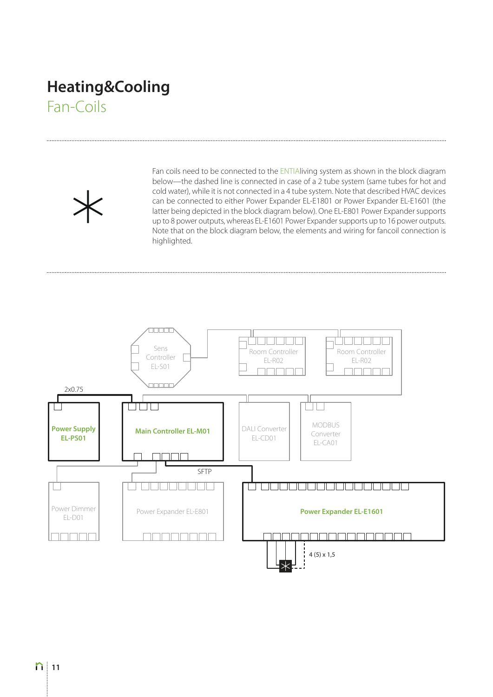#### **Heating&Cooling** Fan-Coils

Fan coils need to be connected to the ENTIAliving system as shown in the block diagram below—the dashed line is connected in case of a 2 tube system (same tubes for hot and cold water), while it is not connected in a 4 tube system. Note that described HVAC devices can be connected to either Power Expander EL-E1801 or Power Expander EL-E1601 (the latter being depicted in the block diagram below). One EL-E801 Power Expander supports up to 8 power outputs, whereas EL-E1601 Power Expander supports up to 16 power outputs. Note that on the block diagram below, the elements and wiring for fancoil connection is highlighted.

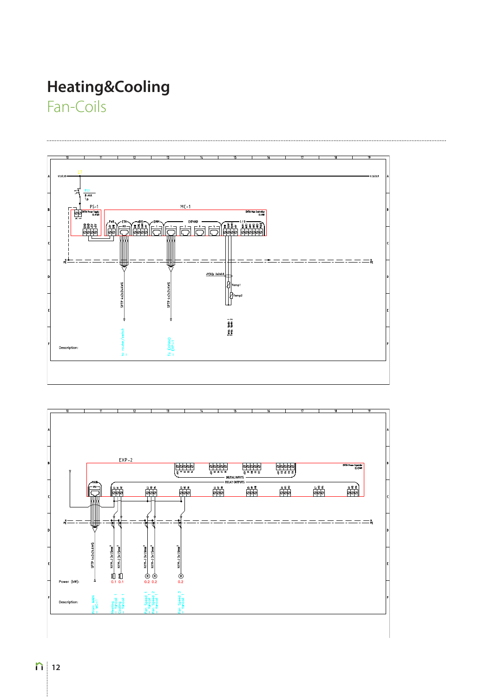## **Heating&Cooling**

Fan-Coils



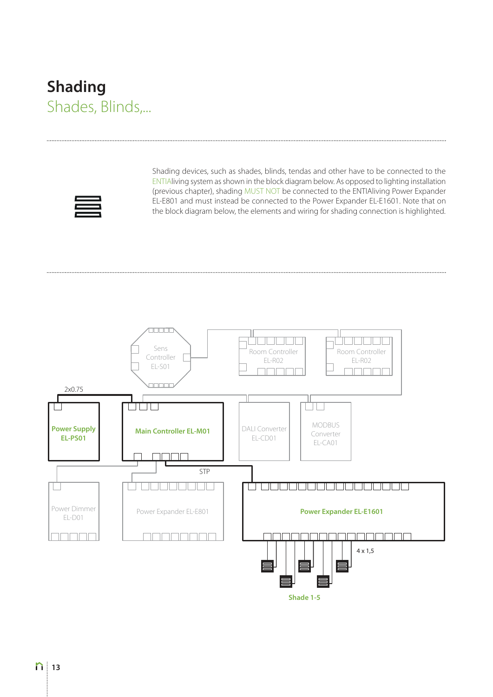#### **Shading** Shades, Blinds,...



Shading devices, such as shades, blinds, tendas and other have to be connected to the ENTIAliving system as shown in the block diagram below. As opposed to lighting installation (previous chapter), shading MUST NOT be connected to the ENTIAliving Power Expander EL-E801 and must instead be connected to the Power Expander EL-E1601. Note that on the block diagram below, the elements and wiring for shading connection is highlighted.



**Shade 1-5**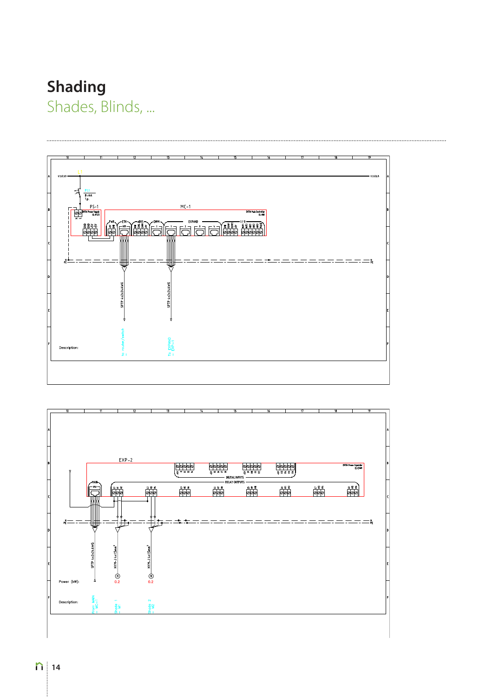## **Shading**

Shades, Blinds, ...



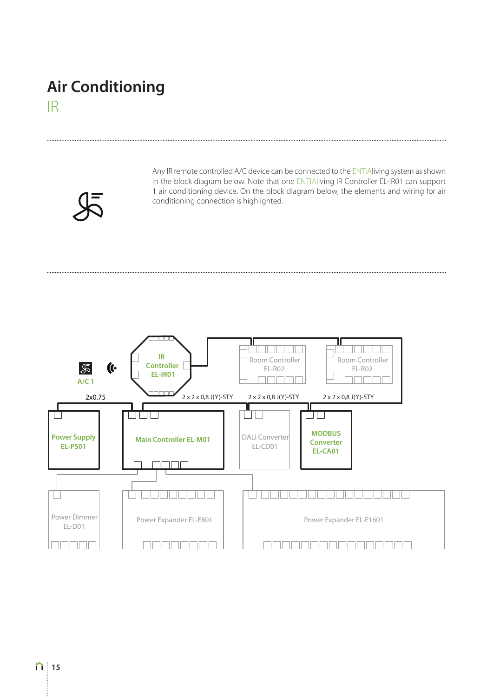#### **Air Conditioning** IR

Any IR remote controlled A/C device can be connected to the ENTIAliving system as shown in the block diagram below. Note that one ENTIAliving IR Controller EL-IR01 can support 1 air conditioning device. On the block diagram below, the elements and wiring for air conditioning connection is highlighted.

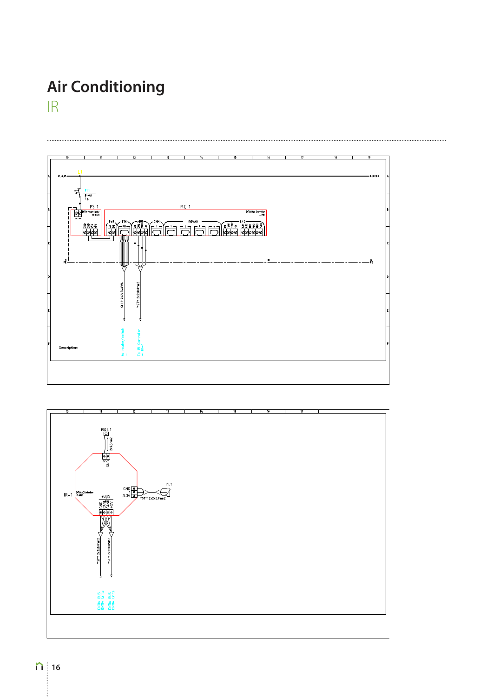#### **Air Conditioning** IR



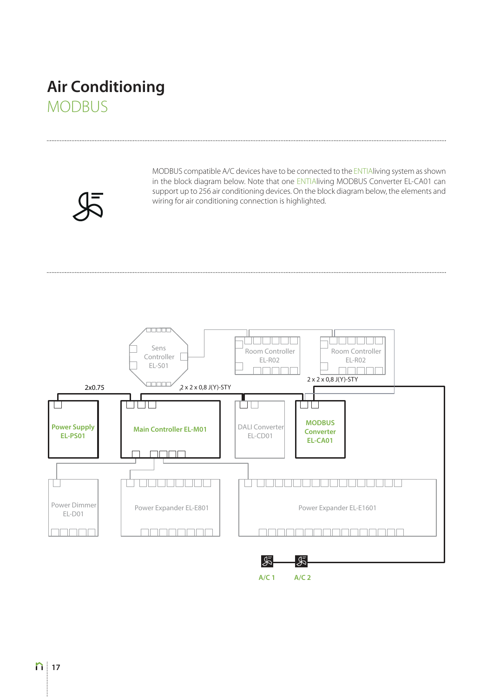#### **Air Conditioning** MODBUS

**17** 

MODBUS compatible A/C devices have to be connected to the ENTIAliving system as shown in the block diagram below. Note that one ENTIAliving MODBUS Converter EL-CA01 can support up to 256 air conditioning devices. On the block diagram below, the elements and wiring for air conditioning connection is highlighted.

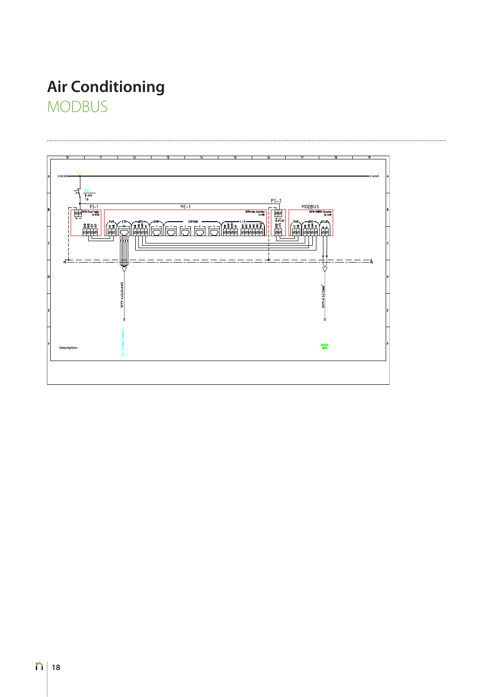### **Air Conditioning** MODBUS

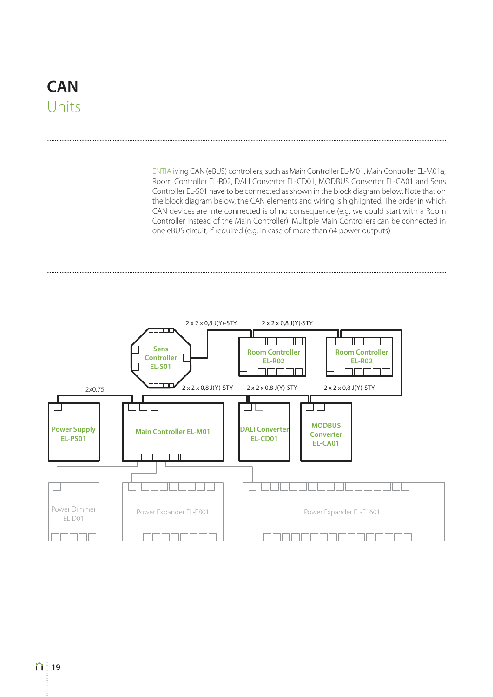#### **CAN**  Units

ENTIAliving CAN (eBUS) controllers, such as Main Controller EL-M01, Main Controller EL-M01a, Room Controller EL-R02, DALI Converter EL-CD01, MODBUS Converter EL-CA01 and Sens Controller EL-S01 have to be connected as shown in the block diagram below. Note that on the block diagram below, the CAN elements and wiring is highlighted. The order in which CAN devices are interconnected is of no consequence (e.g. we could start with a Room Controller instead of the Main Controller). Multiple Main Controllers can be connected in one eBUS circuit, if required (e.g. in case of more than 64 power outputs).

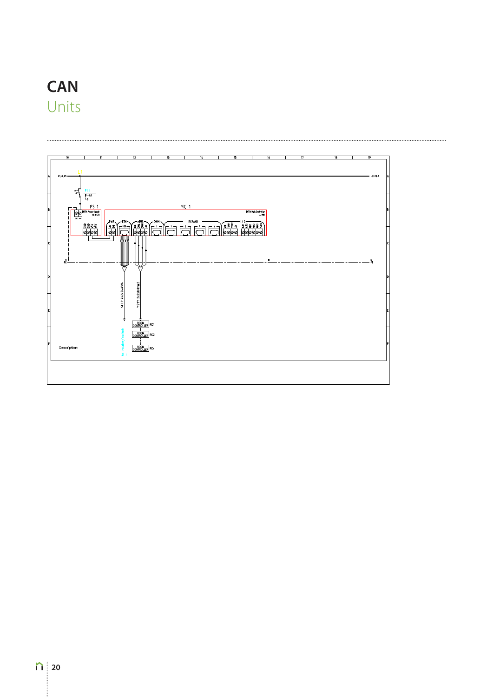#### **CAN** Units

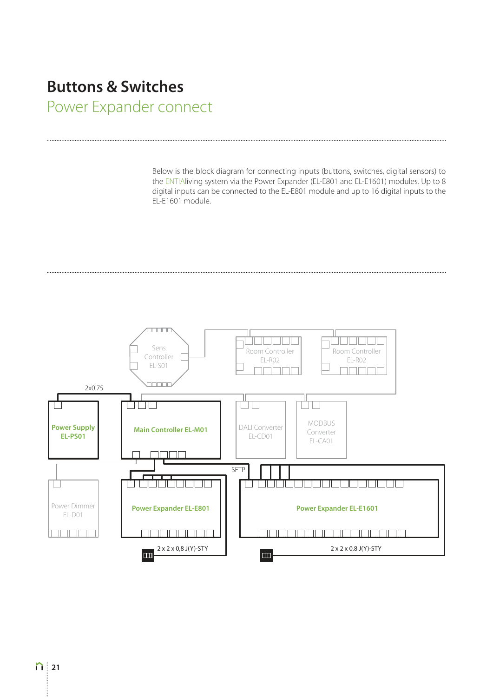#### **Buttons & Switches**

Power Expander connect

Below is the block diagram for connecting inputs (buttons, switches, digital sensors) to the ENTIAliving system via the Power Expander (EL-E801 and EL-E1601) modules. Up to 8 digital inputs can be connected to the EL-E801 module and up to 16 digital inputs to the EL-E1601 module.

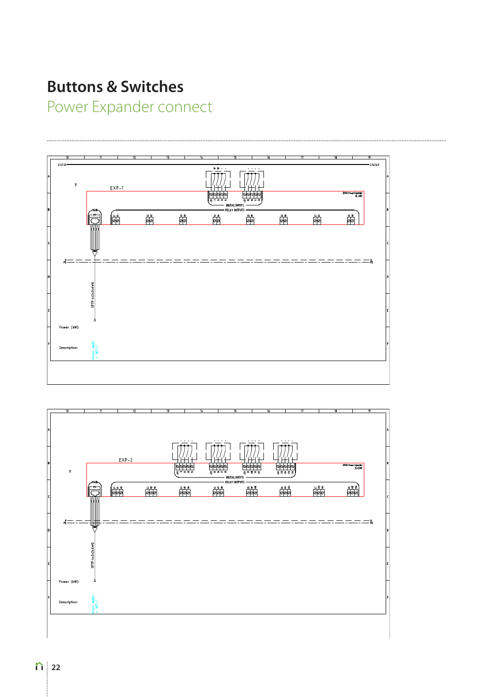#### **Buttons & Switches**

Power Expander connect



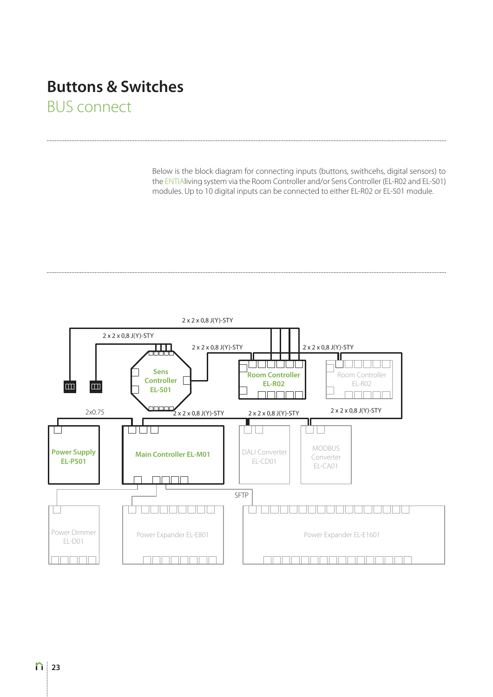#### **Buttons & Switches** BUS connect

Below is the block diagram for connecting inputs (buttons, swithcehs, digital sensors) to the ENTIAliving system via the Room Controller and/or Sens Controller (EL-R02 and EL-S01) modules. Up to 10 digital inputs can be connected to either EL-R02 or EL-S01 module.

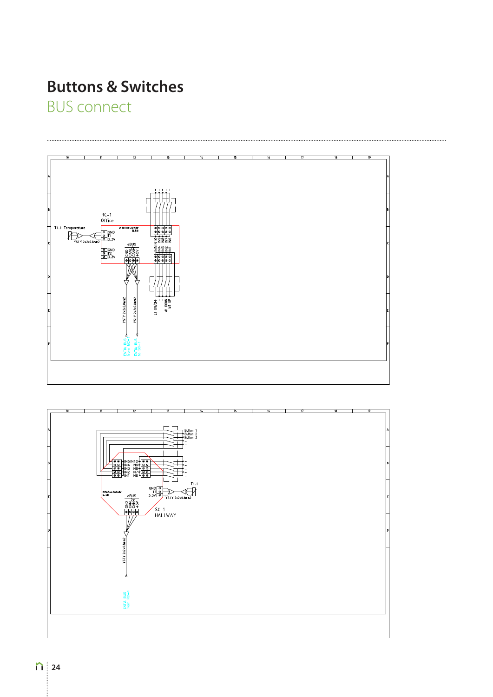## **Buttons & Switches**

**BUS connect** 



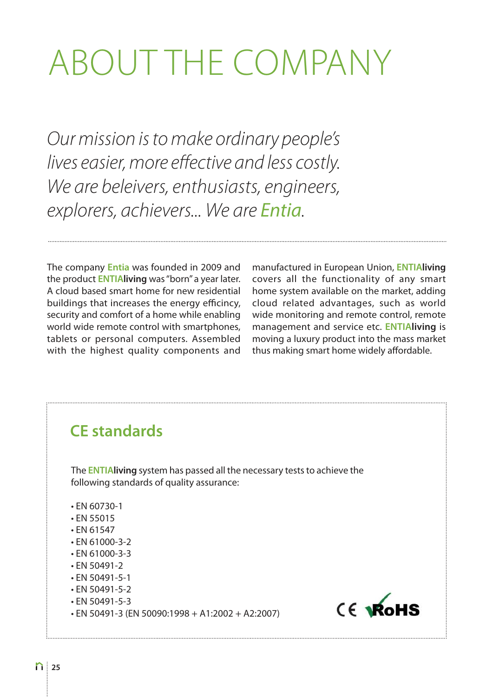# ABOUT THE COMPANY

Our mission is to make ordinary people's lives easier, more effective and less costly. We are beleivers, enthusiasts, engineers, explorers, achievers... We are Entia.

The company **Entia** was founded in 2009 and the product **ENTIAliving** was "born" a year later. A cloud based smart home for new residential buildings that increases the energy efficincy, security and comfort of a home while enabling world wide remote control with smartphones, tablets or personal computers. Assembled with the highest quality components and

manufactured in European Union, **ENTIAliving**  covers all the functionality of any smart home system available on the market, adding cloud related advantages, such as world wide monitoring and remote control, remote management and service etc. **ENTIAliving** is moving a luxury product into the mass market thus making smart home widely affordable.

#### **CE standards**

The **ENTIAliving** system has passed all the necessary tests to achieve the following standards of quality assurance:

- $\cdot$  EN 60730-1
- $\cdot$  EN 55015
- $\cdot$  EN 61547
- $\cdot$  FN 61000-3-2
- $\cdot$  EN 61000-3-3
- $\cdot$  EN 50491-2
- $\cdot$  EN 50491-5-1
- $\cdot$  EN 50491-5-2
- $\cdot$  EN 50491-5-3
- $\cdot$  EN 50491-3 (EN 50090:1998 + A1:2002 + A2:2007)